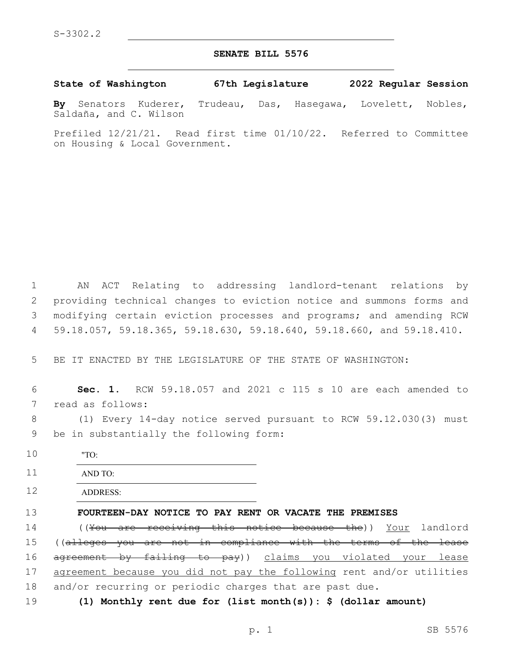## **SENATE BILL 5576**

**State of Washington 67th Legislature 2022 Regular Session**

**By** Senators Kuderer, Trudeau, Das, Hasegawa, Lovelett, Nobles, Saldaña, and C. Wilson

Prefiled 12/21/21. Read first time 01/10/22. Referred to Committee on Housing & Local Government.

 AN ACT Relating to addressing landlord-tenant relations by providing technical changes to eviction notice and summons forms and modifying certain eviction processes and programs; and amending RCW 59.18.057, 59.18.365, 59.18.630, 59.18.640, 59.18.660, and 59.18.410.

5 BE IT ENACTED BY THE LEGISLATURE OF THE STATE OF WASHINGTON:

6 **Sec. 1.** RCW 59.18.057 and 2021 c 115 s 10 are each amended to 7 read as follows:

8 (1) Every 14-day notice served pursuant to RCW 59.12.030(3) must 9 be in substantially the following form:

10 "TO:

11 AND TO:

12 ADDRESS:

13 **FOURTEEN-DAY NOTICE TO PAY RENT OR VACATE THE PREMISES**

14 ((<del>You are receiving this notice because the</del>)) Your landlord 15 ((alleges you are not in compliance with the terms of the lease 16 agreement by failing to pay)) claims you violated your lease 17 agreement because you did not pay the following rent and/or utilities 18 and/or recurring or periodic charges that are past due.

19 **(1) Monthly rent due for (list month(s)): \$ (dollar amount)**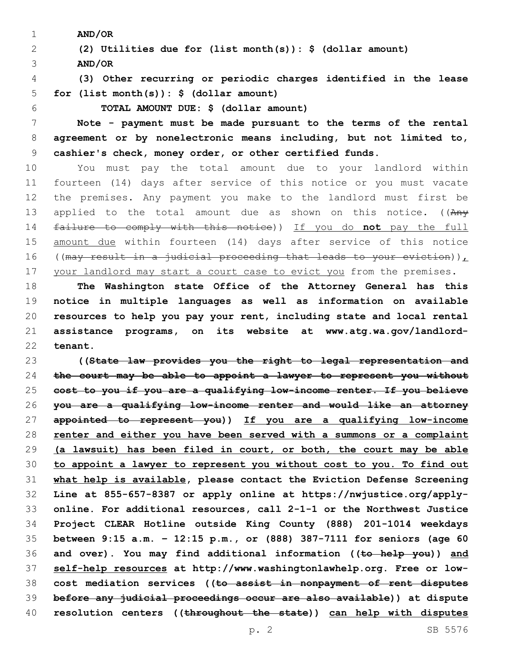**AND/OR**

 **(2) Utilities due for (list month(s)): \$ (dollar amount) AND/OR**

 **(3) Other recurring or periodic charges identified in the lease for (list month(s)): \$ (dollar amount)**

**TOTAL AMOUNT DUE: \$ (dollar amount)**

 **Note - payment must be made pursuant to the terms of the rental agreement or by nonelectronic means including, but not limited to, cashier's check, money order, or other certified funds.**

 You must pay the total amount due to your landlord within fourteen (14) days after service of this notice or you must vacate the premises. Any payment you make to the landlord must first be 13 applied to the total amount due as shown on this notice. ((Any failure to comply with this notice)) If you do **not** pay the full 15 amount due within fourteen (14) days after service of this notice 16 ((may result in a judicial proceeding that leads to your eviction)), 17 your landlord may start a court case to evict you from the premises.

 **The Washington state Office of the Attorney General has this notice in multiple languages as well as information on available resources to help you pay your rent, including state and local rental assistance programs, on its website at www.atg.wa.gov/landlord-tenant.** 

 **((State law provides you the right to legal representation and the court may be able to appoint a lawyer to represent you without cost to you if you are a qualifying low-income renter. If you believe you are a qualifying low-income renter and would like an attorney appointed to represent you)) If you are a qualifying low-income renter and either you have been served with a summons or a complaint (a lawsuit) has been filed in court, or both, the court may be able to appoint a lawyer to represent you without cost to you. To find out what help is available, please contact the Eviction Defense Screening Line at 855-657-8387 or apply online at https://nwjustice.org/apply- online. For additional resources, call 2-1-1 or the Northwest Justice Project CLEAR Hotline outside King County (888) 201-1014 weekdays between 9:15 a.m. – 12:15 p.m., or (888) 387-7111 for seniors (age 60 and over). You may find additional information ((to help you)) and self-help resources at http://www.washingtonlawhelp.org. Free or low- cost mediation services ((to assist in nonpayment of rent disputes before any judicial proceedings occur are also available)) at dispute resolution centers ((throughout the state)) can help with disputes**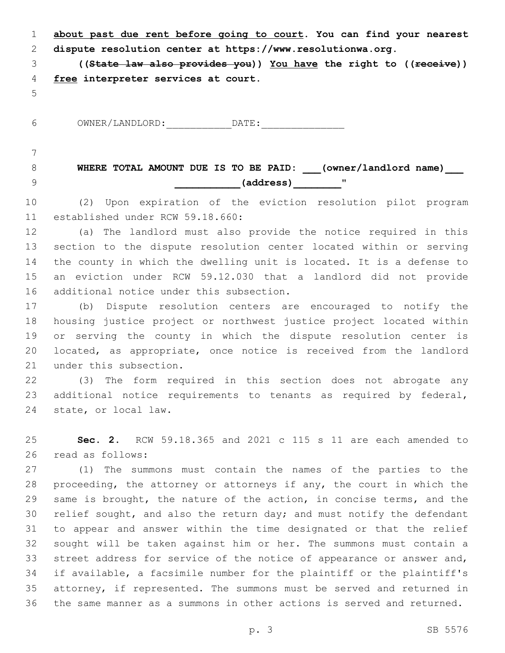**about past due rent before going to court. You can find your nearest dispute resolution center at https://www.resolutionwa.org.**

 **((State law also provides you)) You have the right to ((receive)) free interpreter services at court.**

6 OWNER/LANDLORD: DATE:

## **WHERE TOTAL AMOUNT DUE IS TO BE PAID: \_\_\_(owner/landlord name)\_\_\_ \_\_\_\_\_\_\_\_\_\_\_(address)\_\_\_\_\_\_\_\_**"9

 (2) Upon expiration of the eviction resolution pilot program 11 established under RCW 59.18.660:

 (a) The landlord must also provide the notice required in this section to the dispute resolution center located within or serving the county in which the dwelling unit is located. It is a defense to an eviction under RCW 59.12.030 that a landlord did not provide 16 additional notice under this subsection.

 (b) Dispute resolution centers are encouraged to notify the housing justice project or northwest justice project located within or serving the county in which the dispute resolution center is located, as appropriate, once notice is received from the landlord 21 under this subsection.

 (3) The form required in this section does not abrogate any additional notice requirements to tenants as required by federal, 24 state, or local law.

 **Sec. 2.** RCW 59.18.365 and 2021 c 115 s 11 are each amended to 26 read as follows:

 (1) The summons must contain the names of the parties to the proceeding, the attorney or attorneys if any, the court in which the same is brought, the nature of the action, in concise terms, and the relief sought, and also the return day; and must notify the defendant to appear and answer within the time designated or that the relief sought will be taken against him or her. The summons must contain a street address for service of the notice of appearance or answer and, if available, a facsimile number for the plaintiff or the plaintiff's attorney, if represented. The summons must be served and returned in the same manner as a summons in other actions is served and returned.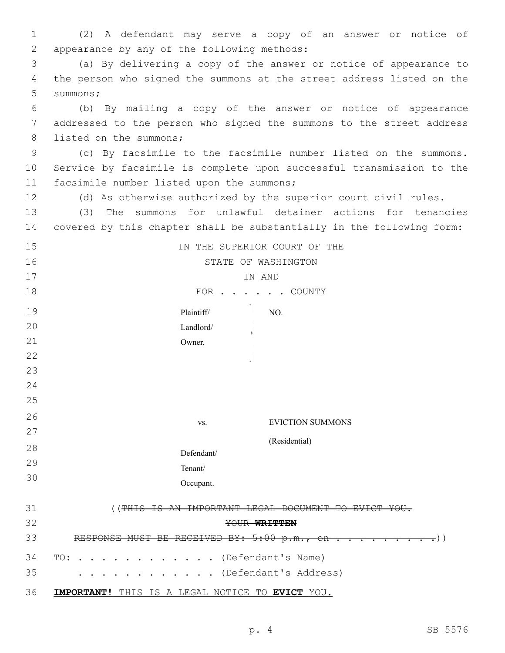| $\mathbf 1$ | (2) A defendant may serve a copy of an answer or notice of            |
|-------------|-----------------------------------------------------------------------|
| 2           | appearance by any of the following methods:                           |
| 3           | (a) By delivering a copy of the answer or notice of appearance to     |
| 4           | the person who signed the summons at the street address listed on the |
| 5           | summons;                                                              |
| 6           | (b) By mailing a copy of the answer or notice of appearance           |
| 7           | addressed to the person who signed the summons to the street address  |
| 8           | listed on the summons;                                                |
| 9           | (c) By facsimile to the facsimile number listed on the summons.       |
| 10          | Service by facsimile is complete upon successful transmission to the  |
| 11          | facsimile number listed upon the summons;                             |
| 12          | (d) As otherwise authorized by the superior court civil rules.        |
| 13          | The summons for unlawful detainer actions for tenancies<br>(3)        |
| 14          | covered by this chapter shall be substantially in the following form: |
| 15          | IN THE SUPERIOR COURT OF THE                                          |
| 16          | STATE OF WASHINGTON                                                   |
| 17          | IN AND                                                                |
| 18          | FOR COUNTY                                                            |
| 19          | Plaintiff/<br>NO.                                                     |
| 20          | Landlord/                                                             |
| 21          | Owner,                                                                |
| 22          |                                                                       |
| 23          |                                                                       |
| 24          |                                                                       |
| 25          |                                                                       |
| 26          | <b>EVICTION SUMMONS</b><br>VS.                                        |
| 27          |                                                                       |
|             | (Residential)                                                         |

28 29 30 Defendant/ Tenant/ Occupant.

| 31 | (THIS IS AN IMPORTANT LEGAL DOCUMENT TO EVICT YOU.   |
|----|------------------------------------------------------|
| 32 | YOUR WRITTEN                                         |
| 33 |                                                      |
| 35 | 34 TO: (Defendant's Name)<br>. (Defendant's Address) |
| 36 | IMPORTANT! THIS IS A LEGAL NOTICE TO EVICT YOU.      |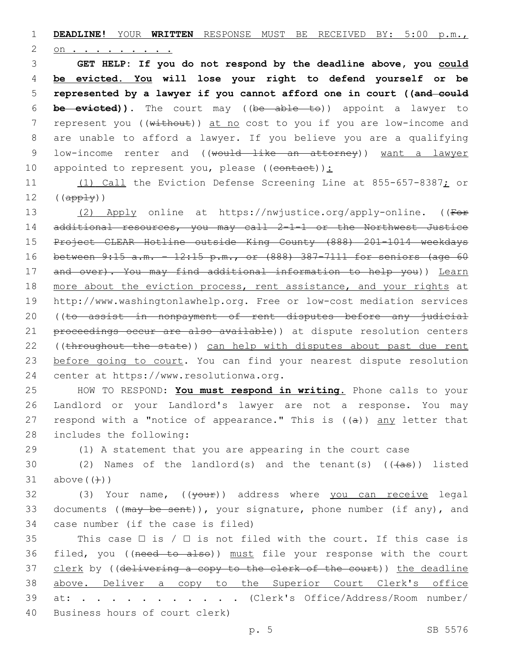1 **DEADLINE!** YOUR **WRITTEN** RESPONSE MUST BE RECEIVED BY: 5:00 p.m.,

2 on.

 **GET HELP: If you do not respond by the deadline above, you could be evicted. You will lose your right to defend yourself or be represented by a lawyer if you cannot afford one in court ((and could be evicted)).** The court may ((be able to)) appoint a lawyer to 7 represent you ((without)) at no cost to you if you are low-income and are unable to afford a lawyer. If you believe you are a qualifying 9 low-income renter and ((would like an attorney)) want a lawyer 10 appointed to represent you, please ((contact)):

11 (1) Call the Eviction Defense Screening Line at 855-657-8387; or  $12$   $((app<sub>ly</sub>))$ 

13 (2) Apply online at https://nwjustice.org/apply-online. ((For 14 additional resources, you may call 2-1-1 or the Northwest Justice 15 Project CLEAR Hotline outside King County (888) 201-1014 weekdays 16 between 9:15 a.m. – 12:15 p.m., or (888) 387-7111 for seniors (age 60 17 and over). You may find additional information to help you)) Learn 18 more about the eviction process, rent assistance, and your rights at 19 http://www.washingtonlawhelp.org. Free or low-cost mediation services 20 ((to assist in nonpayment of rent disputes before any judicial 21 proceedings occur are also available)) at dispute resolution centers 22 ((throughout the state)) can help with disputes about past due rent 23 before going to court. You can find your nearest dispute resolution 24 center at https://www.resolutionwa.org.

25 HOW TO RESPOND: **You must respond in writing.** Phone calls to your 26 Landlord or your Landlord's lawyer are not a response. You may 27 respond with a "notice of appearance." This is ((a)) any letter that 28 includes the following:

29 (1) A statement that you are appearing in the court case

30 (2) Names of the landlord(s) and the tenant(s)  $((+a\pi))$  listed  $31$  above  $((+)$ )

32 (3) Your name, ((your)) address where you can receive legal 33 documents ((may be sent)), your signature, phone number (if any), and 34 case number (if the case is filed)

35 This case  $\Box$  is /  $\Box$  is not filed with the court. If this case is 36 filed, you ((need to also)) must file your response with the court 37 clerk by ((delivering a copy to the clerk of the court)) the deadline 38 above. Deliver a copy to the Superior Court Clerk's office 39 at: . . . . . . . . . . . (Clerk's Office/Address/Room number/ 40 Business hours of court clerk)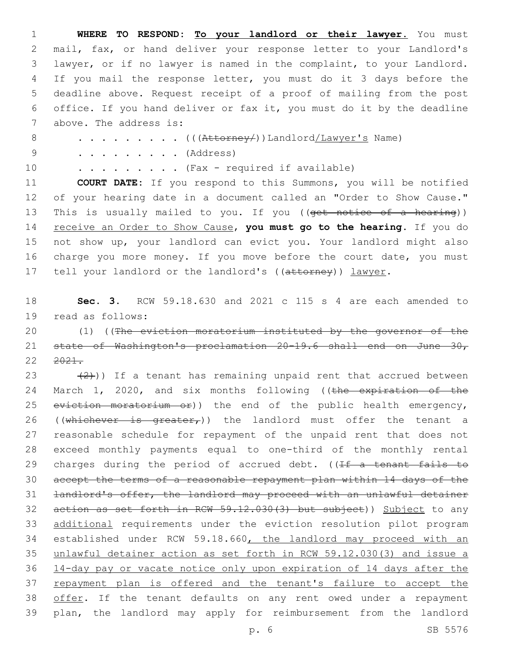1 **WHERE TO RESPOND: To your landlord or their lawyer.** You must 2 mail, fax, or hand deliver your response letter to your Landlord's 3 lawyer, or if no lawyer is named in the complaint, to your Landlord. 4 If you mail the response letter, you must do it 3 days before the 5 deadline above. Request receipt of a proof of mailing from the post 6 office. If you hand deliver or fax it, you must do it by the deadline 7 above. The address is: 8 . . . . . . . . (( $(\text{Attorney}/\text{)}$ ) Landlord/Lawyer's Name) 9 . . . . . . . . . (Address) 10 . . . . . . . . . (Fax - required if available) 11 **COURT DATE:** If you respond to this Summons, you will be notified 12 of your hearing date in a document called an "Order to Show Cause." 13 This is usually mailed to you. If you ((get notice of a hearing)) 14 receive an Order to Show Cause, **you must go to the hearing**. If you do 15 not show up, your landlord can evict you. Your landlord might also 16 charge you more money. If you move before the court date, you must 17 tell your landlord or the landlord's ((attorney)) lawyer. 18 **Sec. 3.** RCW 59.18.630 and 2021 c 115 s 4 are each amended to 19 read as follows: 20 (1) ((The eviction moratorium instituted by the governor of the 21 state of Washington's proclamation 20-19.6 shall end on June 30, 22 2021. 23  $(2)$ )) If a tenant has remaining unpaid rent that accrued between 24 March 1, 2020, and six months following ((the expiration of the 25 eviction moratorium or)) the end of the public health emergency, 26 ((whichever is greater<sub> $r$ </sub>)) the landlord must offer the tenant a 27 reasonable schedule for repayment of the unpaid rent that does not 28 exceed monthly payments equal to one-third of the monthly rental 29 charges during the period of accrued debt. ((If a tenant fails to 30 accept the terms of a reasonable repayment plan within 14 days of the 31 landlord's offer, the landlord may proceed with an unlawful detainer 32 action as set forth in RCW 59.12.030(3) but subject)) Subject to any 33 additional requirements under the eviction resolution pilot program 34 established under RCW 59.18.660, the landlord may proceed with an 35 unlawful detainer action as set forth in RCW 59.12.030(3) and issue a 36 14-day pay or vacate notice only upon expiration of 14 days after the 37 repayment plan is offered and the tenant's failure to accept the 38 offer. If the tenant defaults on any rent owed under a repayment 39 plan, the landlord may apply for reimbursement from the landlord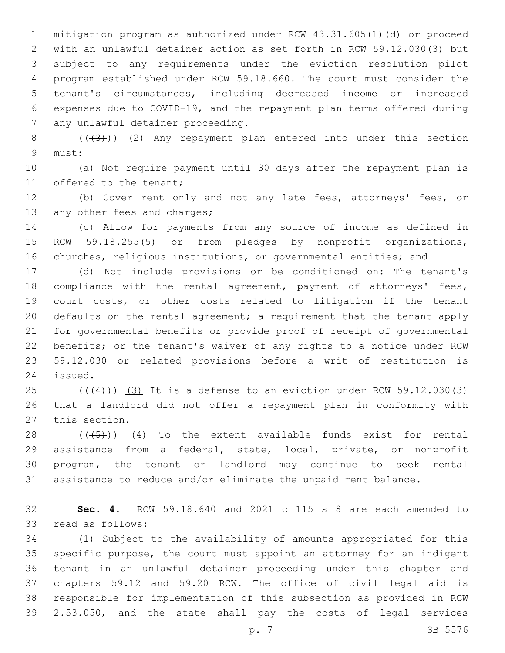mitigation program as authorized under RCW 43.31.605(1)(d) or proceed with an unlawful detainer action as set forth in RCW 59.12.030(3) but subject to any requirements under the eviction resolution pilot program established under RCW 59.18.660. The court must consider the tenant's circumstances, including decreased income or increased expenses due to COVID-19, and the repayment plan terms offered during 7 any unlawful detainer proceeding.

8 (((3)) (2) Any repayment plan entered into under this section must:9

 (a) Not require payment until 30 days after the repayment plan is 11 offered to the tenant;

 (b) Cover rent only and not any late fees, attorneys' fees, or 13 any other fees and charges;

 (c) Allow for payments from any source of income as defined in RCW 59.18.255(5) or from pledges by nonprofit organizations, churches, religious institutions, or governmental entities; and

 (d) Not include provisions or be conditioned on: The tenant's compliance with the rental agreement, payment of attorneys' fees, court costs, or other costs related to litigation if the tenant defaults on the rental agreement; a requirement that the tenant apply for governmental benefits or provide proof of receipt of governmental benefits; or the tenant's waiver of any rights to a notice under RCW 59.12.030 or related provisions before a writ of restitution is 24 issued.

 $(1)(4)$ )  $(3)$  It is a defense to an eviction under RCW 59.12.030(3) that a landlord did not offer a repayment plan in conformity with 27 this section.

 $((+5+))$   $(4)$  To the extent available funds exist for rental assistance from a federal, state, local, private, or nonprofit program, the tenant or landlord may continue to seek rental assistance to reduce and/or eliminate the unpaid rent balance.

 **Sec. 4.** RCW 59.18.640 and 2021 c 115 s 8 are each amended to 33 read as follows:

 (1) Subject to the availability of amounts appropriated for this specific purpose, the court must appoint an attorney for an indigent tenant in an unlawful detainer proceeding under this chapter and chapters 59.12 and 59.20 RCW. The office of civil legal aid is responsible for implementation of this subsection as provided in RCW 2.53.050, and the state shall pay the costs of legal services

p. 7 SB 5576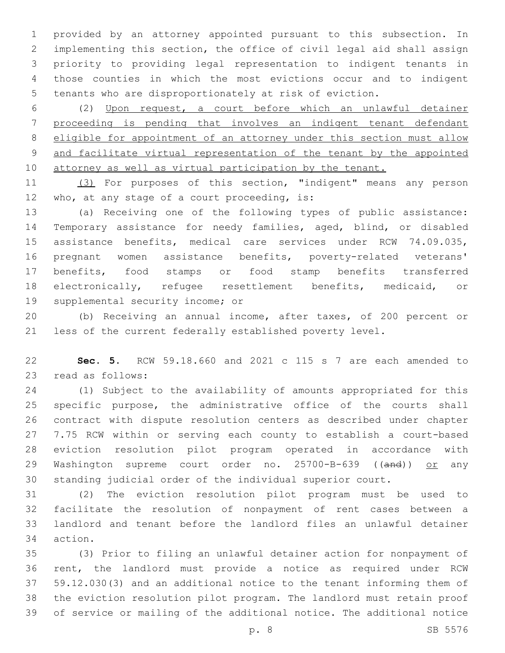provided by an attorney appointed pursuant to this subsection. In implementing this section, the office of civil legal aid shall assign priority to providing legal representation to indigent tenants in those counties in which the most evictions occur and to indigent tenants who are disproportionately at risk of eviction.

 (2) Upon request, a court before which an unlawful detainer proceeding is pending that involves an indigent tenant defendant eligible for appointment of an attorney under this section must allow and facilitate virtual representation of the tenant by the appointed 10 attorney as well as virtual participation by the tenant.

 (3) For purposes of this section, "indigent" means any person 12 who, at any stage of a court proceeding, is:

 (a) Receiving one of the following types of public assistance: Temporary assistance for needy families, aged, blind, or disabled assistance benefits, medical care services under RCW 74.09.035, pregnant women assistance benefits, poverty-related veterans' benefits, food stamps or food stamp benefits transferred electronically, refugee resettlement benefits, medicaid, or 19 supplemental security income; or

 (b) Receiving an annual income, after taxes, of 200 percent or less of the current federally established poverty level.

 **Sec. 5.** RCW 59.18.660 and 2021 c 115 s 7 are each amended to 23 read as follows:

 (1) Subject to the availability of amounts appropriated for this specific purpose, the administrative office of the courts shall contract with dispute resolution centers as described under chapter 7.75 RCW within or serving each county to establish a court-based eviction resolution pilot program operated in accordance with 29 Washington supreme court order no. 25700-B-639 ((and)) or any standing judicial order of the individual superior court.

 (2) The eviction resolution pilot program must be used to facilitate the resolution of nonpayment of rent cases between a landlord and tenant before the landlord files an unlawful detainer 34 action.

 (3) Prior to filing an unlawful detainer action for nonpayment of rent, the landlord must provide a notice as required under RCW 59.12.030(3) and an additional notice to the tenant informing them of the eviction resolution pilot program. The landlord must retain proof of service or mailing of the additional notice. The additional notice

p. 8 SB 5576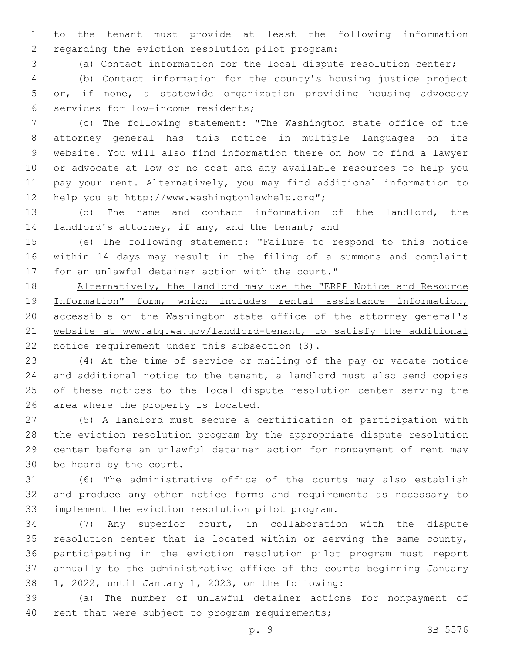to the tenant must provide at least the following information 2 regarding the eviction resolution pilot program:

(a) Contact information for the local dispute resolution center;

 (b) Contact information for the county's housing justice project or, if none, a statewide organization providing housing advocacy 6 services for low-income residents;

 (c) The following statement: "The Washington state office of the attorney general has this notice in multiple languages on its website. You will also find information there on how to find a lawyer or advocate at low or no cost and any available resources to help you pay your rent. Alternatively, you may find additional information to 12 help you at http://www.washingtonlawhelp.org";

 (d) The name and contact information of the landlord, the 14 landlord's attorney, if any, and the tenant; and

 (e) The following statement: "Failure to respond to this notice within 14 days may result in the filing of a summons and complaint 17 for an unlawful detainer action with the court."

 Alternatively, the landlord may use the "ERPP Notice and Resource Information" form, which includes rental assistance information, 20 accessible on the Washington state office of the attorney general's website at www.atg.wa.gov/landlord-tenant, to satisfy the additional notice requirement under this subsection (3).

 (4) At the time of service or mailing of the pay or vacate notice and additional notice to the tenant, a landlord must also send copies of these notices to the local dispute resolution center serving the 26 area where the property is located.

 (5) A landlord must secure a certification of participation with the eviction resolution program by the appropriate dispute resolution center before an unlawful detainer action for nonpayment of rent may 30 be heard by the court.

 (6) The administrative office of the courts may also establish and produce any other notice forms and requirements as necessary to 33 implement the eviction resolution pilot program.

 (7) Any superior court, in collaboration with the dispute resolution center that is located within or serving the same county, participating in the eviction resolution pilot program must report annually to the administrative office of the courts beginning January  $1, 2022,$  until January 1, 2023, on the following:

 (a) The number of unlawful detainer actions for nonpayment of 40 rent that were subject to program requirements;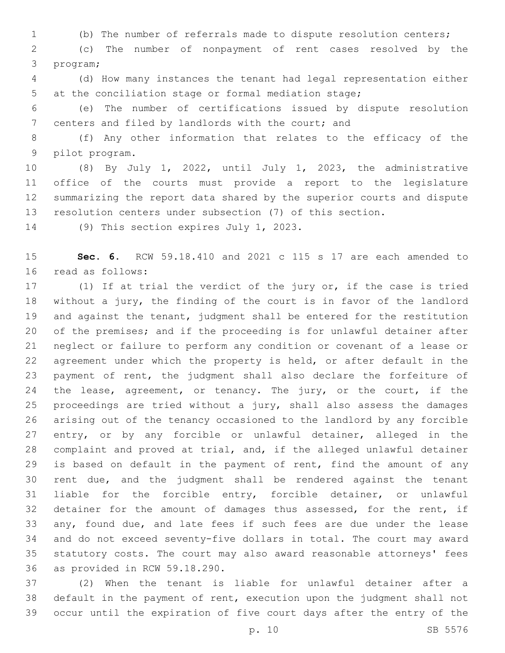(b) The number of referrals made to dispute resolution centers;

 (c) The number of nonpayment of rent cases resolved by the 3 program;

 (d) How many instances the tenant had legal representation either at the conciliation stage or formal mediation stage;

 (e) The number of certifications issued by dispute resolution 7 centers and filed by landlords with the court; and

 (f) Any other information that relates to the efficacy of the 9 pilot program.

 (8) By July 1, 2022, until July 1, 2023, the administrative office of the courts must provide a report to the legislature summarizing the report data shared by the superior courts and dispute resolution centers under subsection (7) of this section.

14 (9) This section expires July 1, 2023.

 **Sec. 6.** RCW 59.18.410 and 2021 c 115 s 17 are each amended to 16 read as follows:

 (1) If at trial the verdict of the jury or, if the case is tried without a jury, the finding of the court is in favor of the landlord 19 and against the tenant, judgment shall be entered for the restitution of the premises; and if the proceeding is for unlawful detainer after neglect or failure to perform any condition or covenant of a lease or agreement under which the property is held, or after default in the payment of rent, the judgment shall also declare the forfeiture of 24 the lease, agreement, or tenancy. The jury, or the court, if the proceedings are tried without a jury, shall also assess the damages arising out of the tenancy occasioned to the landlord by any forcible entry, or by any forcible or unlawful detainer, alleged in the complaint and proved at trial, and, if the alleged unlawful detainer is based on default in the payment of rent, find the amount of any rent due, and the judgment shall be rendered against the tenant liable for the forcible entry, forcible detainer, or unlawful 32 detainer for the amount of damages thus assessed, for the rent, if any, found due, and late fees if such fees are due under the lease and do not exceed seventy-five dollars in total. The court may award statutory costs. The court may also award reasonable attorneys' fees 36 as provided in RCW 59.18.290.

 (2) When the tenant is liable for unlawful detainer after a default in the payment of rent, execution upon the judgment shall not occur until the expiration of five court days after the entry of the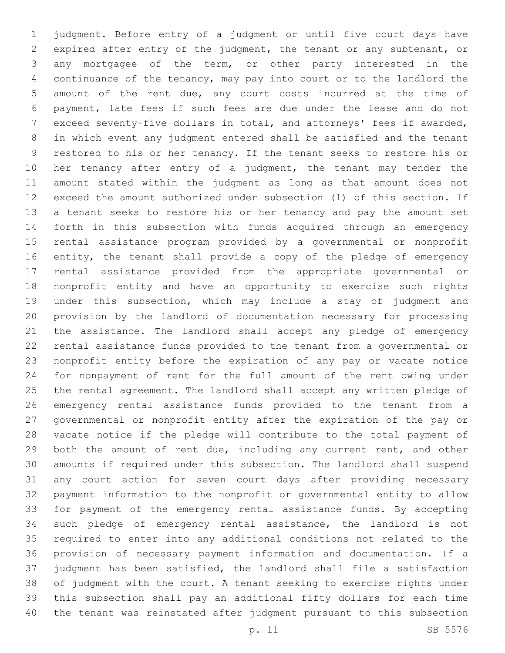judgment. Before entry of a judgment or until five court days have expired after entry of the judgment, the tenant or any subtenant, or any mortgagee of the term, or other party interested in the continuance of the tenancy, may pay into court or to the landlord the amount of the rent due, any court costs incurred at the time of payment, late fees if such fees are due under the lease and do not exceed seventy-five dollars in total, and attorneys' fees if awarded, in which event any judgment entered shall be satisfied and the tenant restored to his or her tenancy. If the tenant seeks to restore his or her tenancy after entry of a judgment, the tenant may tender the amount stated within the judgment as long as that amount does not exceed the amount authorized under subsection (1) of this section. If a tenant seeks to restore his or her tenancy and pay the amount set forth in this subsection with funds acquired through an emergency rental assistance program provided by a governmental or nonprofit entity, the tenant shall provide a copy of the pledge of emergency rental assistance provided from the appropriate governmental or nonprofit entity and have an opportunity to exercise such rights under this subsection, which may include a stay of judgment and provision by the landlord of documentation necessary for processing the assistance. The landlord shall accept any pledge of emergency rental assistance funds provided to the tenant from a governmental or nonprofit entity before the expiration of any pay or vacate notice for nonpayment of rent for the full amount of the rent owing under the rental agreement. The landlord shall accept any written pledge of emergency rental assistance funds provided to the tenant from a governmental or nonprofit entity after the expiration of the pay or vacate notice if the pledge will contribute to the total payment of both the amount of rent due, including any current rent, and other amounts if required under this subsection. The landlord shall suspend any court action for seven court days after providing necessary payment information to the nonprofit or governmental entity to allow for payment of the emergency rental assistance funds. By accepting such pledge of emergency rental assistance, the landlord is not required to enter into any additional conditions not related to the provision of necessary payment information and documentation. If a judgment has been satisfied, the landlord shall file a satisfaction of judgment with the court. A tenant seeking to exercise rights under this subsection shall pay an additional fifty dollars for each time the tenant was reinstated after judgment pursuant to this subsection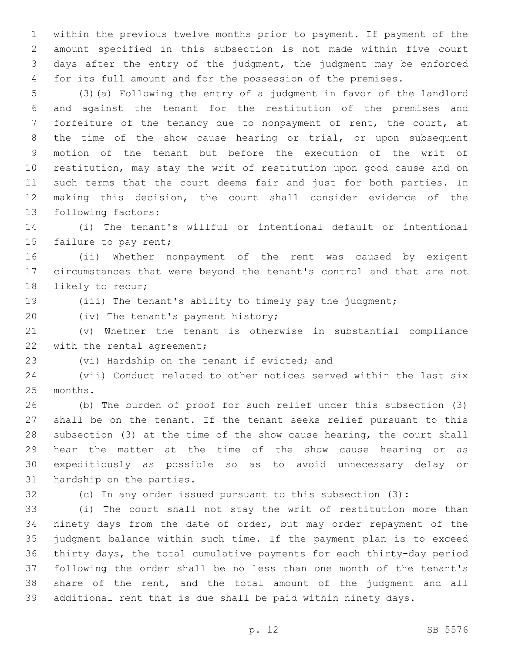within the previous twelve months prior to payment. If payment of the amount specified in this subsection is not made within five court days after the entry of the judgment, the judgment may be enforced for its full amount and for the possession of the premises.

 (3)(a) Following the entry of a judgment in favor of the landlord and against the tenant for the restitution of the premises and forfeiture of the tenancy due to nonpayment of rent, the court, at the time of the show cause hearing or trial, or upon subsequent motion of the tenant but before the execution of the writ of restitution, may stay the writ of restitution upon good cause and on such terms that the court deems fair and just for both parties. In making this decision, the court shall consider evidence of the 13 following factors:

 (i) The tenant's willful or intentional default or intentional 15 failure to pay rent;

 (ii) Whether nonpayment of the rent was caused by exigent circumstances that were beyond the tenant's control and that are not 18 likely to recur;

(iii) The tenant's ability to timely pay the judgment;

20 (iv) The tenant's payment history;

 (v) Whether the tenant is otherwise in substantial compliance 22 with the rental agreement;

23 (vi) Hardship on the tenant if evicted; and

 (vii) Conduct related to other notices served within the last six 25 months.

 (b) The burden of proof for such relief under this subsection (3) shall be on the tenant. If the tenant seeks relief pursuant to this subsection (3) at the time of the show cause hearing, the court shall hear the matter at the time of the show cause hearing or as expeditiously as possible so as to avoid unnecessary delay or 31 hardship on the parties.

(c) In any order issued pursuant to this subsection (3):

 (i) The court shall not stay the writ of restitution more than ninety days from the date of order, but may order repayment of the judgment balance within such time. If the payment plan is to exceed thirty days, the total cumulative payments for each thirty-day period following the order shall be no less than one month of the tenant's share of the rent, and the total amount of the judgment and all additional rent that is due shall be paid within ninety days.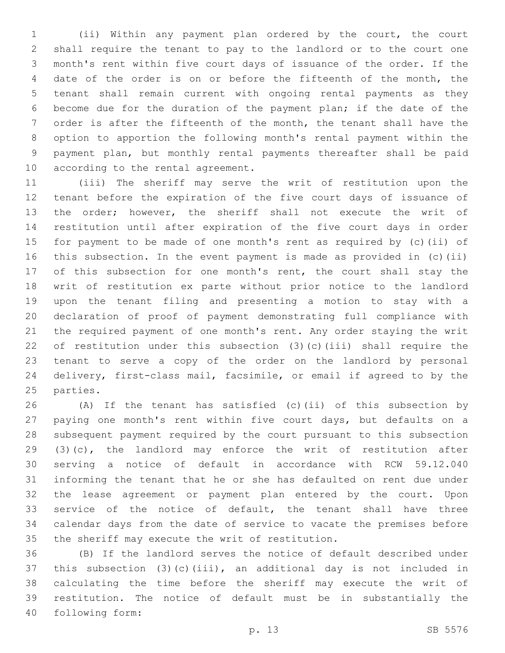(ii) Within any payment plan ordered by the court, the court shall require the tenant to pay to the landlord or to the court one month's rent within five court days of issuance of the order. If the date of the order is on or before the fifteenth of the month, the tenant shall remain current with ongoing rental payments as they become due for the duration of the payment plan; if the date of the order is after the fifteenth of the month, the tenant shall have the option to apportion the following month's rental payment within the payment plan, but monthly rental payments thereafter shall be paid 10 according to the rental agreement.

 (iii) The sheriff may serve the writ of restitution upon the tenant before the expiration of the five court days of issuance of the order; however, the sheriff shall not execute the writ of restitution until after expiration of the five court days in order for payment to be made of one month's rent as required by (c)(ii) of this subsection. In the event payment is made as provided in (c)(ii) 17 of this subsection for one month's rent, the court shall stay the writ of restitution ex parte without prior notice to the landlord upon the tenant filing and presenting a motion to stay with a declaration of proof of payment demonstrating full compliance with the required payment of one month's rent. Any order staying the writ of restitution under this subsection (3)(c)(iii) shall require the tenant to serve a copy of the order on the landlord by personal delivery, first-class mail, facsimile, or email if agreed to by the 25 parties.

 (A) If the tenant has satisfied (c)(ii) of this subsection by paying one month's rent within five court days, but defaults on a subsequent payment required by the court pursuant to this subsection (3)(c), the landlord may enforce the writ of restitution after serving a notice of default in accordance with RCW 59.12.040 informing the tenant that he or she has defaulted on rent due under the lease agreement or payment plan entered by the court. Upon service of the notice of default, the tenant shall have three calendar days from the date of service to vacate the premises before 35 the sheriff may execute the writ of restitution.

 (B) If the landlord serves the notice of default described under this subsection (3)(c)(iii), an additional day is not included in calculating the time before the sheriff may execute the writ of restitution. The notice of default must be in substantially the following form:40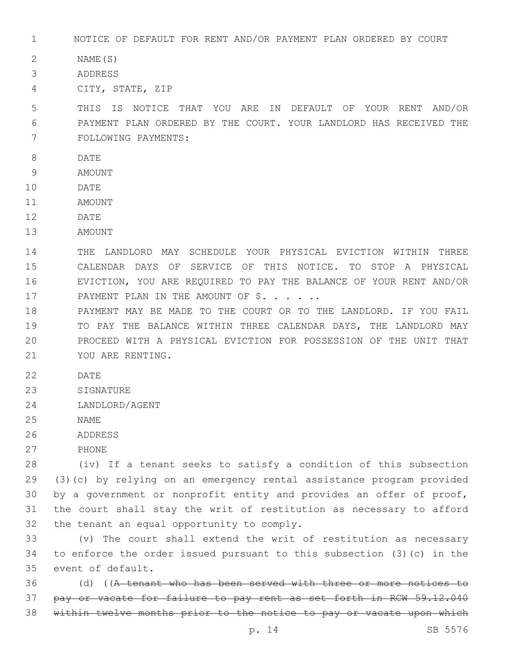1 NOTICE OF DEFAULT FOR RENT AND/OR PAYMENT PLAN ORDERED BY COURT

2 NAME(S)

3 ADDRESS

CITY, STATE, ZIP4

5 THIS IS NOTICE THAT YOU ARE IN DEFAULT OF YOUR RENT AND/OR 6 PAYMENT PLAN ORDERED BY THE COURT. YOUR LANDLORD HAS RECEIVED THE 7 FOLLOWING PAYMENTS:

- 8 DATE
- 9 AMOUNT
- 10 DATE
- 11 AMOUNT
- 12 DATE
- 13 AMOUNT

 THE LANDLORD MAY SCHEDULE YOUR PHYSICAL EVICTION WITHIN THREE CALENDAR DAYS OF SERVICE OF THIS NOTICE. TO STOP A PHYSICAL EVICTION, YOU ARE REQUIRED TO PAY THE BALANCE OF YOUR RENT AND/OR 17 PAYMENT PLAN IN THE AMOUNT OF \$. . . . . .

 PAYMENT MAY BE MADE TO THE COURT OR TO THE LANDLORD. IF YOU FAIL TO PAY THE BALANCE WITHIN THREE CALENDAR DAYS, THE LANDLORD MAY PROCEED WITH A PHYSICAL EVICTION FOR POSSESSION OF THE UNIT THAT 21 YOU ARE RENTING.

- 22 DATE
- 23 SIGNATURE
- 24 LANDLORD/AGENT
- 25 NAME
- 26 ADDRESS
- 27 PHONE

 (iv) If a tenant seeks to satisfy a condition of this subsection (3)(c) by relying on an emergency rental assistance program provided by a government or nonprofit entity and provides an offer of proof, the court shall stay the writ of restitution as necessary to afford 32 the tenant an equal opportunity to comply.

33 (v) The court shall extend the writ of restitution as necessary 34 to enforce the order issued pursuant to this subsection (3)(c) in the 35 event of default.

36 (d) ((A tenant who has been served with three or more notices to 37 pay or vacate for failure to pay rent as set forth in RCW 59.12.040 38 within twelve months prior to the notice to pay or vacate upon which

p. 14 SB 5576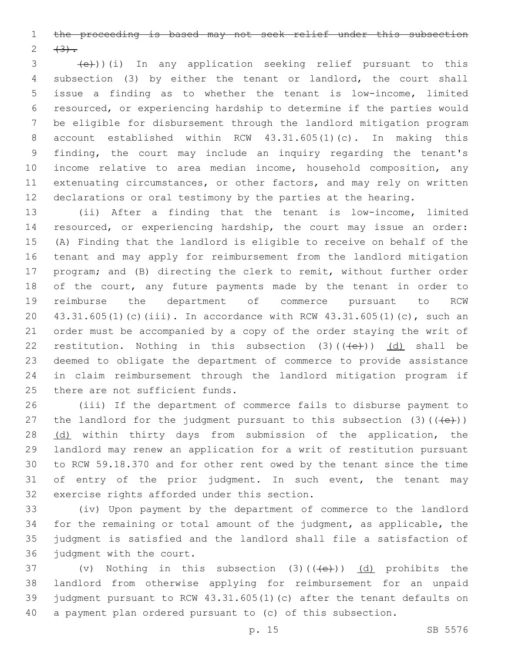the proceeding is based may not seek relief under this subsection 2  $(3)$ .

 $\left( \frac{1}{e^{2}}\right)$ )(i) In any application seeking relief pursuant to this subsection (3) by either the tenant or landlord, the court shall issue a finding as to whether the tenant is low-income, limited resourced, or experiencing hardship to determine if the parties would be eligible for disbursement through the landlord mitigation program account established within RCW 43.31.605(1)(c). In making this finding, the court may include an inquiry regarding the tenant's income relative to area median income, household composition, any extenuating circumstances, or other factors, and may rely on written declarations or oral testimony by the parties at the hearing.

 (ii) After a finding that the tenant is low-income, limited resourced, or experiencing hardship, the court may issue an order: (A) Finding that the landlord is eligible to receive on behalf of the tenant and may apply for reimbursement from the landlord mitigation program; and (B) directing the clerk to remit, without further order 18 of the court, any future payments made by the tenant in order to reimburse the department of commerce pursuant to RCW 43.31.605(1)(c)(iii). In accordance with RCW 43.31.605(1)(c), such an order must be accompanied by a copy of the order staying the writ of 22 restitution. Nothing in this subsection  $(3)((\text{+e}))$  (d) shall be deemed to obligate the department of commerce to provide assistance in claim reimbursement through the landlord mitigation program if 25 there are not sufficient funds.

 (iii) If the department of commerce fails to disburse payment to 27 the landlord for the judgment pursuant to this subsection  $(3)$  ( $(\overline{+e})$ ) 28 (d) within thirty days from submission of the application, the landlord may renew an application for a writ of restitution pursuant to RCW 59.18.370 and for other rent owed by the tenant since the time of entry of the prior judgment. In such event, the tenant may 32 exercise rights afforded under this section.

 (iv) Upon payment by the department of commerce to the landlord for the remaining or total amount of the judgment, as applicable, the judgment is satisfied and the landlord shall file a satisfaction of 36 judgment with the court.

 $(v)$  Nothing in this subsection (3)( $(\overline{+e})$ ) (d) prohibits the landlord from otherwise applying for reimbursement for an unpaid judgment pursuant to RCW 43.31.605(1)(c) after the tenant defaults on a payment plan ordered pursuant to (c) of this subsection.